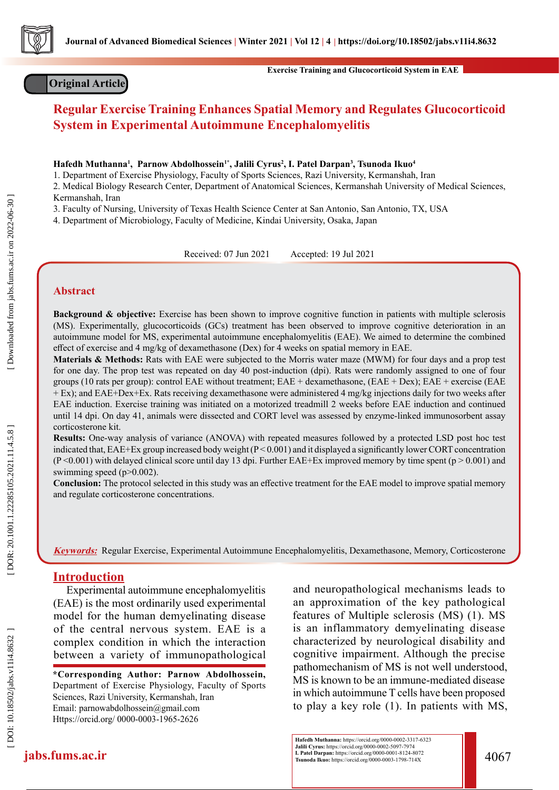

## **Original Article**

**Exercise Training and Glucocorticoid System in EAE**

# **Regular Exercise Training Enhances Spatial Memory and Regulates Glucocorticoid System in Experimental Autoimmune Encephalomyelitis**

 $\bold{H}$ afedh Muthanna<sup>1</sup>, Parnow Abdolhossein<sup>1\*</sup>, Jalili Cyrus<sup>2</sup>, I. Patel Darpan<sup>3</sup>, Tsunoda Ikuo<sup>4</sup>

1. Department of Exercise Physiology, Faculty of Sports Sciences, Razi University, Kermanshah, Iran

2. Medical Biology Research Center, Department of Anatomical Sciences, Kermanshah University of Medical Sciences, Kermanshah, Iran

3. Faculty of Nursing, University of Texas Health Science Center at San Antonio, San Antonio, TX, USA

4. Department of Microbiology, Faculty of Medicine, Kindai University, Osaka, Japan

Received: 07 Jun 2021 Accepted: 19 Jul 2021

#### **Abstract**

**Background & objective:** Exercise has been shown to improve cognitive function in patients with multiple sclerosis (MS). Experimentally, glucocorticoids (GCs) treatment has been observed to improve cognitive deterioration in an autoimmune model for MS, experimental autoimmune encephalomyelitis (EAE). We aimed to determine the combined effect of exercise and 4 mg/kg of dexamethasone (Dex) for 4 weeks on spatial memory in EAE.

**Materials & Methods:** Rats with EAE were subjected to the Morris water maze (MWM) for four days and a prop test for one day. The prop test was repeated on day 40 post-induction (dpi). Rats were randomly assigned to one of four groups (10 rats per group): control EAE without treatment; EAE + dexamethasone, (EAE + Dex); EAE + exercise (EAE + Ex); and EAE+Dex+Ex. Rats receiving dexamethasone were administered 4 mg/kg injections daily for two weeks after EAE induction. Exercise training was initiated on a motorized treadmill 2 weeks before EAE induction and continued until 14 dpi. On day 41, animals were dissected and CORT level was assessed by enzyme-linked immunosorbent assay corticosterone kit.

**Results:** One-way analysis of variance (ANOVA) with repeated measures followed by a protected LSD post hoc test indicated that,  $EAE+Ex$  group increased body weight  $(P < 0.001)$  and it displayed a significantly lower CORT concentration  $(P<0.001)$  with delayed clinical score until day 13 dpi. Further EAE+Ex improved memory by time spent (p > 0.001) and swimming speed (p>0.002).

**Conclusion:** The protocol selected in this study was an effective treatment for the EAE model to improve spatial memory and regulate corticosterone concentrations.

**Keywords:** Regular Exercise, Experimental Autoimmune Encephalomyelitis, Dexamethasone, Memory, Corticosterone

#### **Introduction**

Experimental autoimmune encephalomyelitis (EAE) is the most ordinarily used experimental model for the human demyelinating disease of the central nervous system. EAE is a complex condition in which the interaction between a variety of immunopathological

**\*Corresponding Author: Parnow Abdolhossein,**  Department of Exercise Physiology, Faculty of Sports Sciences, Razi University, Kermanshah, Iran Email: parnowabdolhossein@gmail.com Https://orcid.org/ 0000-0003-1965-2626

and neuropathological mechanisms leads to an approximation of the key pathological features of Multiple sclerosis (MS) (1). MS is an inflammatory demyelinating disease characterized by neurological disability and cognitive impairment. Although the precise pathomechanism of MS is not well understood, MS is known to be an immune-mediated disease in which autoimmune T cells have been proposed to play a key role (1). In patients with MS,

DOI: 10.18502/jabs.v11i4.8632

**jabs.fums.ac.ir** 4067 **Hafedh Muthanna:** https://orcid.org/0000-0002-3317-6323 **Jalili Cyrus:** https://orcid.org/0000-0002-5097-7974 **I. Patel Darpan:** https://orcid.org/0000-0001-8124-8072

DOR: 20.1001.1.22285105.2021.11.4.5.8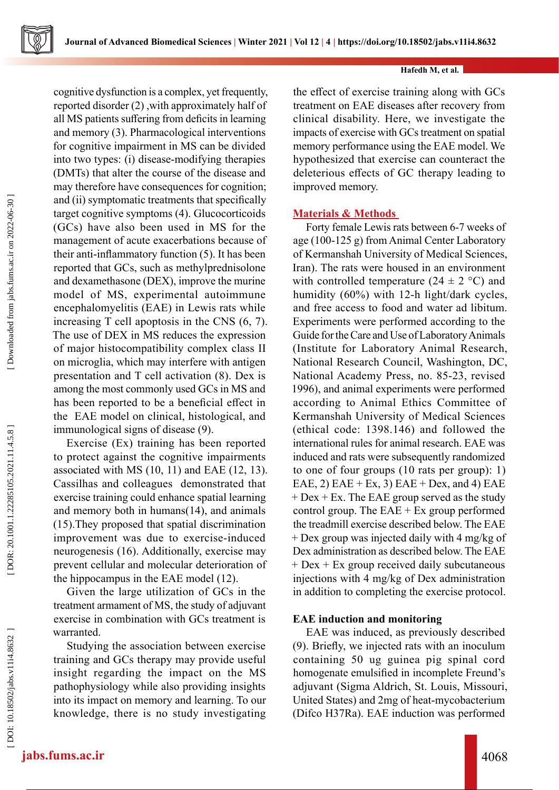cognitive dysfunction is a complex, yet frequently, reported disorder (2) ,with approximately half of all MS patients suffering from deficits in learning and memory (3). Pharmacological interventions for cognitive impairment in MS can be divided into two types: (i) disease-modifying therapies (DMTs) that alter the course of the disease and may therefore have consequences for cognition; and (ii) symptomatic treatments that specifically target cognitive symptoms (4). Glucocorticoids (GCs) have also been used in MS for the management of acute exacerbations because of their anti-inflammatory function (5). It has been reported that GCs, such as methylprednisolone and dexamethasone (DEX), improve the murine model of MS, experimental autoimmune encephalomyelitis (EAE) in Lewis rats while increasing T cell apoptosis in the CNS (6, 7). The use of DEX in MS reduces the expression of major histocompatibility complex class II on microglia, which may interfere with antigen presentation and T cell activation (8). Dex is among the most commonly used GCs in MS and has been reported to be a beneficial effect in the EAE model on clinical, histological, and immunological signs of disease (9).

Exercise (Ex) training has been reported to protect against the cognitive impairments associated with MS (10, 11) and EAE (12, 13). Cassilhas and colleagues demonstrated that exercise training could enhance spatial learning and memory both in humans(14), and animals (15).They proposed that spatial discrimination improvement was due to exercise-induced neurogenesis (16). Additionally, exercise may prevent cellular and molecular deterioration of the hippocampus in the EAE model (12).

Given the large utilization of GCs in the treatment armament of MS, the study of adjuvant exercise in combination with GCs treatment is warranted.

Studying the association between exercise training and GCs therapy may provide useful insight regarding the impact on the MS pathophysiology while also providing insights into its impact on memory and learning. To our knowledge, there is no study investigating the effect of exercise training along with GCs treatment on EAE diseases after recovery from clinical disability. Here, we investigate the impacts of exercise with GCs treatment on spatial memory performance using the EAE model. We hypothesized that exercise can counteract the deleterious effects of GC therapy leading to improved memory.

## **Materials & Methods**

Forty female Lewis rats between 6-7 weeks of age (100-125 g) from Animal Center Laboratory of Kermanshah University of Medical Sciences, Iran). The rats were housed in an environment with controlled temperature  $(24 \pm 2 \degree C)$  and humidity (60%) with 12-h light/dark cycles, and free access to food and water ad libitum. Experiments were performed according to the Guide for the Care and Use of Laboratory Animals (Institute for Laboratory Animal Research, National Research Council, Washington, DC, National Academy Press, no. 85-23, revised 1996), and animal experiments were performed according to Animal Ethics Committee of Kermanshah University of Medical Sciences (ethical code: 1398.146) and followed the international rules for animal research. EAE was induced and rats were subsequently randomized to one of four groups (10 rats per group): 1) EAE, 2) EAE + Ex, 3) EAE + Dex, and 4) EAE  $+$  Dex  $+$  Ex. The EAE group served as the study control group. The  $EAE + Ex$  group performed the treadmill exercise described below. The EAE + Dex group was injected daily with 4 mg/kg of Dex administration as described below. The EAE + Dex + Ex group received daily subcutaneous injections with 4 mg/kg of Dex administration in addition to completing the exercise protocol.

## **EAE induction and monitoring**

EAE was induced, as previously described (9). Briefly, we injected rats with an inoculum containing 50 ug guinea pig spinal cord homogenate emulsified in incomplete Freund's adjuvant (Sigma Aldrich, St. Louis, Missouri, United States) and 2mg of heat-mycobacterium (Difco H37Ra). EAE induction was performed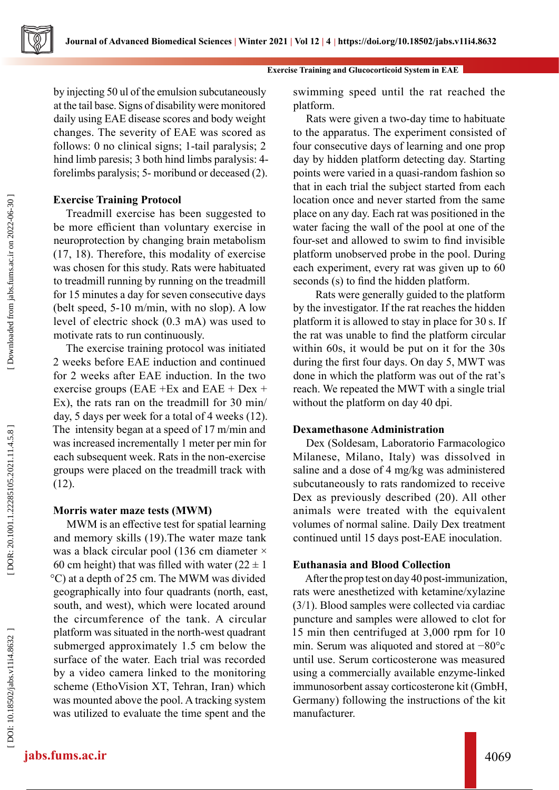by injecting 50 ul of the emulsion subcutaneously at the tail base. Signs of disability were monitored daily using EAE disease scores and body weight changes. The severity of EAE was scored as follows: 0 no clinical signs; 1-tail paralysis; 2 hind limb paresis; 3 both hind limbs paralysis: 4 forelimbs paralysis; 5- moribund or deceased (2).

## **Exercise Training Protocol**

Treadmill exercise has been suggested to be more efficient than voluntary exercise in neuroprotection by changing brain metabolism (17, 18). Therefore, this modality of exercise was chosen for this study. Rats were habituated to treadmill running by running on the treadmill for 15 minutes a day for seven consecutive days (belt speed, 5-10 m/min, with no slop). A low level of electric shock (0.3 mA) was used to motivate rats to run continuously.

The exercise training protocol was initiated 2 weeks before EAE induction and continued for 2 weeks after EAE induction. In the two exercise groups (EAE +Ex and EAE + Dex + Ex), the rats ran on the treadmill for 30 min/ day, 5 days per week for a total of 4 weeks (12). The intensity began at a speed of 17 m/min and was increased incrementally 1 meter per min for each subsequent week. Rats in the non-exercise groups were placed on the treadmill track with (12).

## **Morris water maze tests (MWM)**

MWM is an effective test for spatial learning and memory skills (19).The water maze tank was a black circular pool (136 cm diameter × 60 cm height) that was filled with water  $(22 \pm 1)$ °C) at a depth of 25 cm. The MWM was divided geographically into four quadrants (north, east, south, and west), which were located around the circumference of the tank. A circular platform was situated in the north-west quadrant submerged approximately 1.5 cm below the surface of the water. Each trial was recorded by a video camera linked to the monitoring scheme (EthoVision XT, Tehran, Iran) which was mounted above the pool. A tracking system was utilized to evaluate the time spent and the

swimming speed until the rat reached the platform.

Rats were given a two-day time to habituate to the apparatus. The experiment consisted of four consecutive days of learning and one prop day by hidden platform detecting day. Starting points were varied in a quasi-random fashion so that in each trial the subject started from each location once and never started from the same place on any day. Each rat was positioned in the water facing the wall of the pool at one of the four-set and allowed to swim to find invisible platform unobserved probe in the pool. During each experiment, every rat was given up to 60 seconds (s) to find the hidden platform.

 Rats were generally guided to the platform by the investigator. If the rat reaches the hidden platform it is allowed to stay in place for 30 s. If the rat was unable to find the platform circular within 60s, it would be put on it for the 30s during the first four days. On day 5, MWT was done in which the platform was out of the rat's reach. We repeated the MWT with a single trial without the platform on day 40 dpi.

#### **Dexamethasone Administration**

Dex (Soldesam, Laboratorio Farmacologico Milanese, Milano, Italy) was dissolved in saline and a dose of 4 mg/kg was administered subcutaneously to rats randomized to receive Dex as previously described (20). All other animals were treated with the equivalent volumes of normal saline. Daily Dex treatment continued until 15 days post-EAE inoculation.

## **Euthanasia and Blood Collection**

After the prop test on day 40 post-immunization, rats were anesthetized with ketamine/xylazine (3/1). Blood samples were collected via cardiac puncture and samples were allowed to clot for 15 min then centrifuged at 3,000 rpm for 10 min. Serum was aliquoted and stored at −80°c until use. Serum corticosterone was measured using a commercially available enzyme-linked immunosorbent assay corticosterone kit (GmbH, Germany) following the instructions of the kit manufacturer.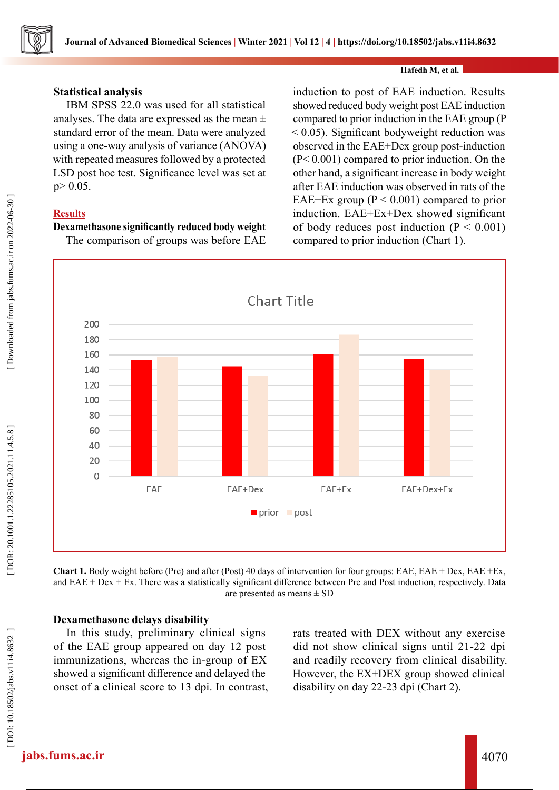

#### **Statistical analysis**

IBM SPSS 22.0 was used for all statistical analyses. The data are expressed as the mean  $\pm$ standard error of the mean. Data were analyzed using a one-way analysis of variance (ANOVA) with repeated measures followed by a protected LSD post hoc test. Significance level was set at  $p > 0.05$ .

## **Results**

#### **Dexamethasone significantly reduced body weight**

The comparison of groups was before EAE

induction to post of EAE induction. Results showed reduced body weight post EAE induction compared to prior induction in the EAE group (P < 0.05). Significant bodyweight reduction was observed in the EAE+Dex group post-induction (P< 0.001) compared to prior induction. On the other hand, a significant increase in body weight after EAE induction was observed in rats of the EAE+Ex group ( $P < 0.001$ ) compared to prior induction. EAE+Ex+Dex showed significant of body reduces post induction  $(P < 0.001)$ compared to prior induction (Chart 1).



**Chart 1.** Body weight before (Pre) and after (Post) 40 days of intervention for four groups: EAE, EAE + Dex, EAE +Ex, and  $EAE + Dex + Ex$ . There was a statistically significant difference between Pre and Post induction, respectively. Data are presented as means ± SD

#### **Dexamethasone delays disability**

In this study, preliminary clinical signs of the EAE group appeared on day 12 post immunizations, whereas the in-group of EX showed a significant difference and delayed the onset of a clinical score to 13 dpi. In contrast, rats treated with DEX without any exercise did not show clinical signs until 21-22 dpi and readily recovery from clinical disability. However, the EX+DEX group showed clinical disability on day 22-23 dpi (Chart 2).

Downloaded from jabs.fums.ac.ir on 2022-06-30 ]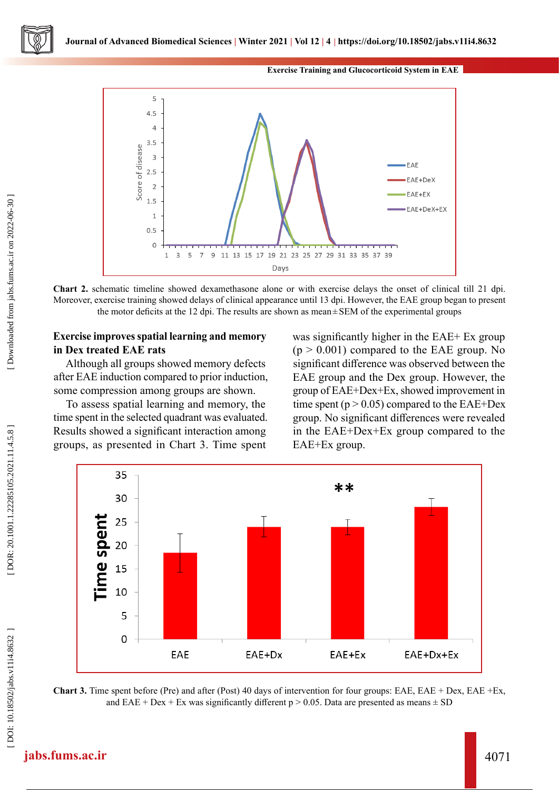



**Chart 2.** schematic timeline showed dexamethasone alone or with exercise delays the onset of clinical till 21 dpi. Moreover, exercise training showed delays of clinical appearance until 13 dpi. However, the EAE group began to present the motor deficits at the 12 dpi. The results are shown as mean ±SEM of the experimental groups

#### **Exercise improves spatial learning and memory in Dex treated EAE rats**

Although all groups showed memory defects after EAE induction compared to prior induction, some compression among groups are shown.

To assess spatial learning and memory, the time spent in the selected quadrant was evaluated. Results showed a significant interaction among groups, as presented in Chart 3. Time spent

was significantly higher in the EAE+ Ex group  $(p > 0.001)$  compared to the EAE group. No significant difference was observed between the EAE group and the Dex group. However, the group of EAE+Dex+Ex, showed improvement in time spent ( $p > 0.05$ ) compared to the EAE+Dex group. No significant differences were revealed in the EAE+Dex+Ex group compared to the EAE+Ex group.



**Chart 3.** Time spent before (Pre) and after (Post) 40 days of intervention for four groups: EAE, EAE + Dex, EAE +Ex, and EAE + Dex + Ex was significantly different  $p > 0.05$ . Data are presented as means  $\pm$  SD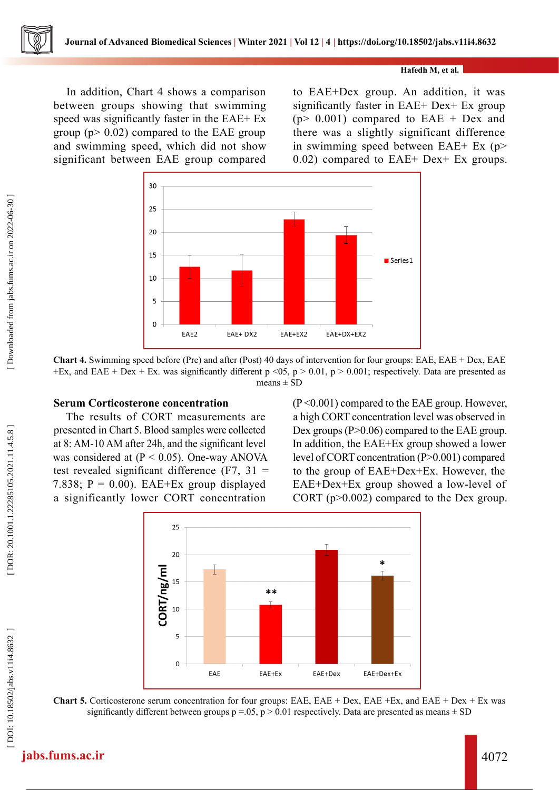In addition, Chart 4 shows a comparison between groups showing that swimming speed was significantly faster in the EAE+ Ex group ( $p$  > 0.02) compared to the EAE group and swimming speed, which did not show significant between EAE group compared

to EAE+Dex group. An addition, it was significantly faster in EAE+ Dex+ Ex group  $(p > 0.001)$  compared to EAE + Dex and there was a slightly significant difference in swimming speed between EAE+ Ex (p> 0.02) compared to EAE+ Dex+ Ex groups.



**Chart 4.** Swimming speed before (Pre) and after (Post) 40 days of intervention for four groups: EAE, EAE + Dex, EAE +Ex, and EAE + Dex + Ex. was significantly different  $p \le 0.5$ ,  $p > 0.01$ ,  $p > 0.001$ ; respectively. Data are presented as means  $\pm$  SD

#### **Serum Corticosterone concentration**

The results of CORT measurements are presented in Chart 5. Blood samples were collected at 8: AM-10 AM after 24h, and the significant level was considered at  $(P < 0.05)$ . One-way ANOVA test revealed significant difference  $(F7, 31)$ 7.838;  $P = 0.00$ ). EAE+Ex group displayed a significantly lower CORT concentration

 $(P<0.001)$  compared to the EAE group. However, a high CORT concentration level was observed in Dex groups (P>0.06) compared to the EAE group. In addition, the EAE+Ex group showed a lower level of CORT concentration (P>0.001) compared to the group of EAE+Dex+Ex. However, the EAE+Dex+Ex group showed a low-level of CORT (p>0.002) compared to the Dex group.



**Chart 5.** Corticosterone serum concentration for four groups: EAE, EAE + Dex, EAE +Ex, and EAE + Dex + Ex was significantly different between groups  $p = 0.05$ ,  $p > 0.01$  respectively. Data are presented as means  $\pm$  SD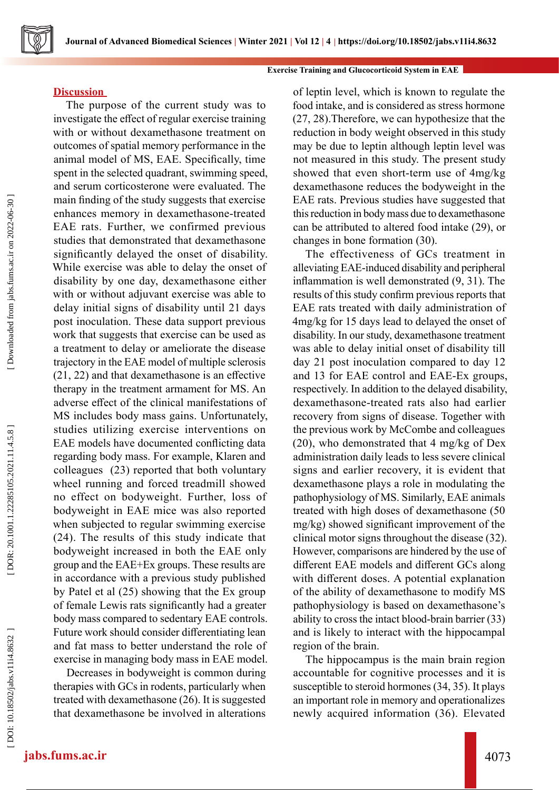#### **Exercise Training and Glucocorticoid System in EAE**

## **Discussion**

The purpose of the current study was to investigate the effect of regular exercise training with or without dexamethasone treatment on outcomes of spatial memory performance in the animal model of MS, EAE. Specifically, time spent in the selected quadrant, swimming speed, and serum corticosterone were evaluated. The main finding of the study suggests that exercise enhances memory in dexamethasone-treated EAE rats. Further, we confirmed previous studies that demonstrated that dexamethasone significantly delayed the onset of disability. While exercise was able to delay the onset of disability by one day, dexamethasone either with or without adjuvant exercise was able to delay initial signs of disability until 21 days post inoculation. These data support previous work that suggests that exercise can be used as a treatment to delay or ameliorate the disease trajectory in the EAE model of multiple sclerosis (21, 22) and that dexamethasone is an effective therapy in the treatment armament for MS. An adverse effect of the clinical manifestations of MS includes body mass gains. Unfortunately, studies utilizing exercise interventions on EAE models have documented conflicting data regarding body mass. For example, Klaren and colleagues (23) reported that both voluntary wheel running and forced treadmill showed no effect on bodyweight. Further, loss of bodyweight in EAE mice was also reported when subjected to regular swimming exercise (24). The results of this study indicate that bodyweight increased in both the EAE only group and the EAE+Ex groups. These results are in accordance with a previous study published by Patel et al (25) showing that the Ex group of female Lewis rats significantly had a greater body mass compared to sedentary EAE controls. Future work should consider differentiating lean and fat mass to better understand the role of exercise in managing body mass in EAE model.

Decreases in bodyweight is common during therapies with GCs in rodents, particularly when treated with dexamethasone (26). It is suggested that dexamethasone be involved in alterations

of leptin level, which is known to regulate the food intake, and is considered as stress hormone (27, 28).Therefore, we can hypothesize that the reduction in body weight observed in this study may be due to leptin although leptin level was not measured in this study. The present study showed that even short-term use of 4mg/kg dexamethasone reduces the bodyweight in the EAE rats. Previous studies have suggested that this reduction in body mass due to dexamethasone can be attributed to altered food intake (29), or changes in bone formation (30).

The effectiveness of GCs treatment in alleviating EAE-induced disability and peripheral inflammation is well demonstrated (9, 31). The results of this study confirm previous reports that EAE rats treated with daily administration of 4mg/kg for 15 days lead to delayed the onset of disability. In our study, dexamethasone treatment was able to delay initial onset of disability till day 21 post inoculation compared to day 12 and 13 for EAE control and EAE-Ex groups, respectively. In addition to the delayed disability, dexamethasone-treated rats also had earlier recovery from signs of disease. Together with the previous work by McCombe and colleagues (20), who demonstrated that 4 mg/kg of Dex administration daily leads to less severe clinical signs and earlier recovery, it is evident that dexamethasone plays a role in modulating the pathophysiology of MS. Similarly, EAE animals treated with high doses of dexamethasone (50 mg/kg) showed significant improvement of the clinical motor signs throughout the disease (32). However, comparisons are hindered by the use of different EAE models and different GCs along with different doses. A potential explanation of the ability of dexamethasone to modify MS pathophysiology is based on dexamethasone's ability to cross the intact blood-brain barrier (33) and is likely to interact with the hippocampal region of the brain.

The hippocampus is the main brain region accountable for cognitive processes and it is susceptible to steroid hormones (34, 35). It plays an important role in memory and operationalizes newly acquired information (36). Elevated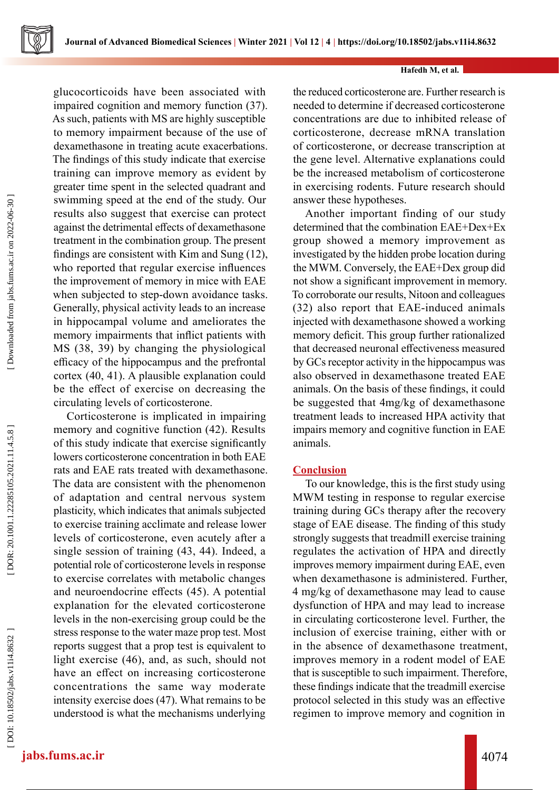glucocorticoids have been associated with impaired cognition and memory function (37). As such, patients with MS are highly susceptible to memory impairment because of the use of dexamethasone in treating acute exacerbations. The findings of this study indicate that exercise training can improve memory as evident by greater time spent in the selected quadrant and swimming speed at the end of the study. Our results also suggest that exercise can protect against the detrimental effects of dexamethasone treatment in the combination group. The present findings are consistent with Kim and Sung (12), who reported that regular exercise influences the improvement of memory in mice with EAE when subjected to step-down avoidance tasks. Generally, physical activity leads to an increase in hippocampal volume and ameliorates the memory impairments that inflict patients with MS (38, 39) by changing the physiological efficacy of the hippocampus and the prefrontal cortex (40, 41). A plausible explanation could be the effect of exercise on decreasing the circulating levels of corticosterone.

Corticosterone is implicated in impairing memory and cognitive function (42). Results of this study indicate that exercise significantly lowers corticosterone concentration in both EAE rats and EAE rats treated with dexamethasone. The data are consistent with the phenomenon of adaptation and central nervous system plasticity, which indicates that animals subjected to exercise training acclimate and release lower levels of corticosterone, even acutely after a single session of training (43, 44). Indeed, a potential role of corticosterone levels in response to exercise correlates with metabolic changes and neuroendocrine effects (45). A potential explanation for the elevated corticosterone levels in the non-exercising group could be the stress response to the water maze prop test. Most reports suggest that a prop test is equivalent to light exercise (46), and, as such, should not have an effect on increasing corticosterone concentrations the same way moderate intensity exercise does (47). What remains to be understood is what the mechanisms underlying

the reduced corticosterone are. Further research is needed to determine if decreased corticosterone concentrations are due to inhibited release of corticosterone, decrease mRNA translation of corticosterone, or decrease transcription at the gene level. Alternative explanations could be the increased metabolism of corticosterone in exercising rodents. Future research should answer these hypotheses.

Another important finding of our study determined that the combination EAE+Dex+Ex group showed a memory improvement as investigated by the hidden probe location during the MWM. Conversely, the EAE+Dex group did not show a significant improvement in memory. To corroborate our results, Nitoon and colleagues (32) also report that EAE-induced animals injected with dexamethasone showed a working memory deficit. This group further rationalized that decreased neuronal effectiveness measured by GCs receptor activity in the hippocampus was also observed in dexamethasone treated EAE animals. On the basis of these findings, it could be suggested that 4mg/kg of dexamethasone treatment leads to increased HPA activity that impairs memory and cognitive function in EAE animals.

## **Conclusion**

To our knowledge, this is the first study using MWM testing in response to regular exercise training during GCs therapy after the recovery stage of EAE disease. The finding of this study strongly suggests that treadmill exercise training regulates the activation of HPA and directly improves memory impairment during EAE, even when dexamethasone is administered. Further, 4 mg/kg of dexamethasone may lead to cause dysfunction of HPA and may lead to increase in circulating corticosterone level. Further, the inclusion of exercise training, either with or in the absence of dexamethasone treatment, improves memory in a rodent model of EAE that is susceptible to such impairment. Therefore, these findings indicate that the treadmill exercise protocol selected in this study was an effective regimen to improve memory and cognition in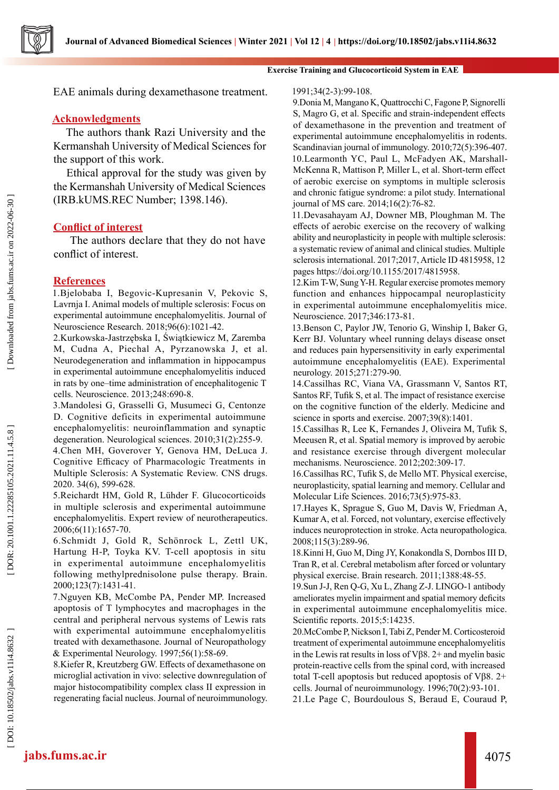# EAE animals during dexamethasone treatment.

## **Acknowledgments**

The authors thank Razi University and the Kermanshah University of Medical Sciences for the support of this work.

Ethical approval for the study was given by the Kermanshah University of Medical Sciences (IRB.kUMS.REC Number; 1398.146).

#### **Conflict of interest**

 The authors declare that they do not have conflict of interest.

#### **References**

Downloaded from jabs.fums.ac.ir on 2022-06-30

1.Bjelobaba I, Begovic-Kupresanin V, Pekovic S, Lavrnja I. Animal models of multiple sclerosis: Focus on experimental autoimmune encephalomyelitis. Journal of Neuroscience Research. 2018;96(6):1021-42.

2.Kurkowska-Jastrzębska I, Świątkiewicz M, Zaremba M, Cudna A, Piechal A, Pyrzanowska J, et al. Neurodegeneration and inflammation in hippocampus in experimental autoimmune encephalomyelitis induced in rats by one–time administration of encephalitogenic T cells. Neuroscience. 2013;248:690-8.

3.Mandolesi G, Grasselli G, Musumeci G, Centonze D. Cognitive deficits in experimental autoimmune encephalomyelitis: neuroinflammation and synaptic degeneration. Neurological sciences. 2010;31(2):255-9.

4.Chen MH, Goverover Y, Genova HM, DeLuca J. Cognitive Efficacy of Pharmacologic Treatments in Multiple Sclerosis: A Systematic Review. CNS drugs. 2020. 34(6), 599-628.

5.Reichardt HM, Gold R, Lühder F. Glucocorticoids in multiple sclerosis and experimental autoimmune encephalomyelitis. Expert review of neurotherapeutics. 2006;6(11):1657-70.

6.Schmidt J, Gold R, Schönrock L, Zettl UK, Hartung H-P, Toyka KV. T-cell apoptosis in situ in experimental autoimmune encephalomyelitis following methylprednisolone pulse therapy. Brain. 2000;123(7):1431-41.

7.Nguyen KB, McCombe PA, Pender MP. Increased apoptosis of T lymphocytes and macrophages in the central and peripheral nervous systems of Lewis rats with experimental autoimmune encephalomyelitis treated with dexamethasone. Journal of Neuropathology & Experimental Neurology. 1997;56(1):58-69.

8.Kiefer R, Kreutzberg GW. Effects of dexamethasone on microglial activation in vivo: selective downregulation of major histocompatibility complex class II expression in regenerating facial nucleus. Journal of neuroimmunology.

#### 1991;34(2-3):99-108.

**Exercise Training and Glucocorticoid System in EAE**

9.Donia M, Mangano K, Quattrocchi C, Fagone P, Signorelli S, Magro G, et al. Specific and strain-independent effects of dexamethasone in the prevention and treatment of experimental autoimmune encephalomyelitis in rodents. Scandinavian journal of immunology. 2010;72(5):396-407. 10.Learmonth YC, Paul L, McFadyen AK, Marshall-McKenna R, Mattison P, Miller L, et al. Short-term effect of aerobic exercise on symptoms in multiple sclerosis and chronic fatigue syndrome: a pilot study. International journal of MS care. 2014;16(2):76-82.

11.Devasahayam AJ, Downer MB, Ploughman M. The effects of aerobic exercise on the recovery of walking ability and neuroplasticity in people with multiple sclerosis: a systematic review of animal and clinical studies. Multiple sclerosis international. 2017;2017, Article ID 4815958, 12 pages https://doi.org/10.1155/2017/4815958.

12.Kim T-W, Sung Y-H. Regular exercise promotes memory function and enhances hippocampal neuroplasticity in experimental autoimmune encephalomyelitis mice. Neuroscience. 2017;346:173-81.

13.Benson C, Paylor JW, Tenorio G, Winship I, Baker G, Kerr BJ. Voluntary wheel running delays disease onset and reduces pain hypersensitivity in early experimental autoimmune encephalomyelitis (EAE). Experimental neurology. 2015;271:279-90.

14.Cassilhas RC, Viana VA, Grassmann V, Santos RT, Santos RF, Tufik S, et al. The impact of resistance exercise on the cognitive function of the elderly. Medicine and science in sports and exercise. 2007;39(8):1401.

15.Cassilhas R, Lee K, Fernandes J, Oliveira M, Tufik S, Meeusen R, et al. Spatial memory is improved by aerobic and resistance exercise through divergent molecular mechanisms. Neuroscience. 2012;202:309-17.

16.Cassilhas RC, Tufik S, de Mello MT. Physical exercise, neuroplasticity, spatial learning and memory. Cellular and Molecular Life Sciences. 2016;73(5):975-83.

17.Hayes K, Sprague S, Guo M, Davis W, Friedman A, Kumar A, et al. Forced, not voluntary, exercise effectively induces neuroprotection in stroke. Acta neuropathologica. 2008;115(3):289-96.

18.Kinni H, Guo M, Ding JY, Konakondla S, Dornbos III D, Tran R, et al. Cerebral metabolism after forced or voluntary physical exercise. Brain research. 2011;1388:48-55.

19.Sun J-J, Ren Q-G, Xu L, Zhang Z-J. LINGO-1 antibody ameliorates myelin impairment and spatial memory deficits in experimental autoimmune encephalomyelitis mice. Scientific reports. 2015;5:14235.

20.McCombe P, Nickson I, Tabi Z, Pender M. Corticosteroid treatment of experimental autoimmune encephalomyelitis in the Lewis rat results in loss of Vβ8. 2+ and myelin basic protein-reactive cells from the spinal cord, with increased total T-cell apoptosis but reduced apoptosis of Vβ8. 2+ cells. Journal of neuroimmunology. 1996;70(2):93-101.

21.Le Page C, Bourdoulous S, Beraud E, Couraud P,

DOR: 20.1001.1.22285105.2021.11.4.5.8

# **jabs.fums.ac.ir** 4075